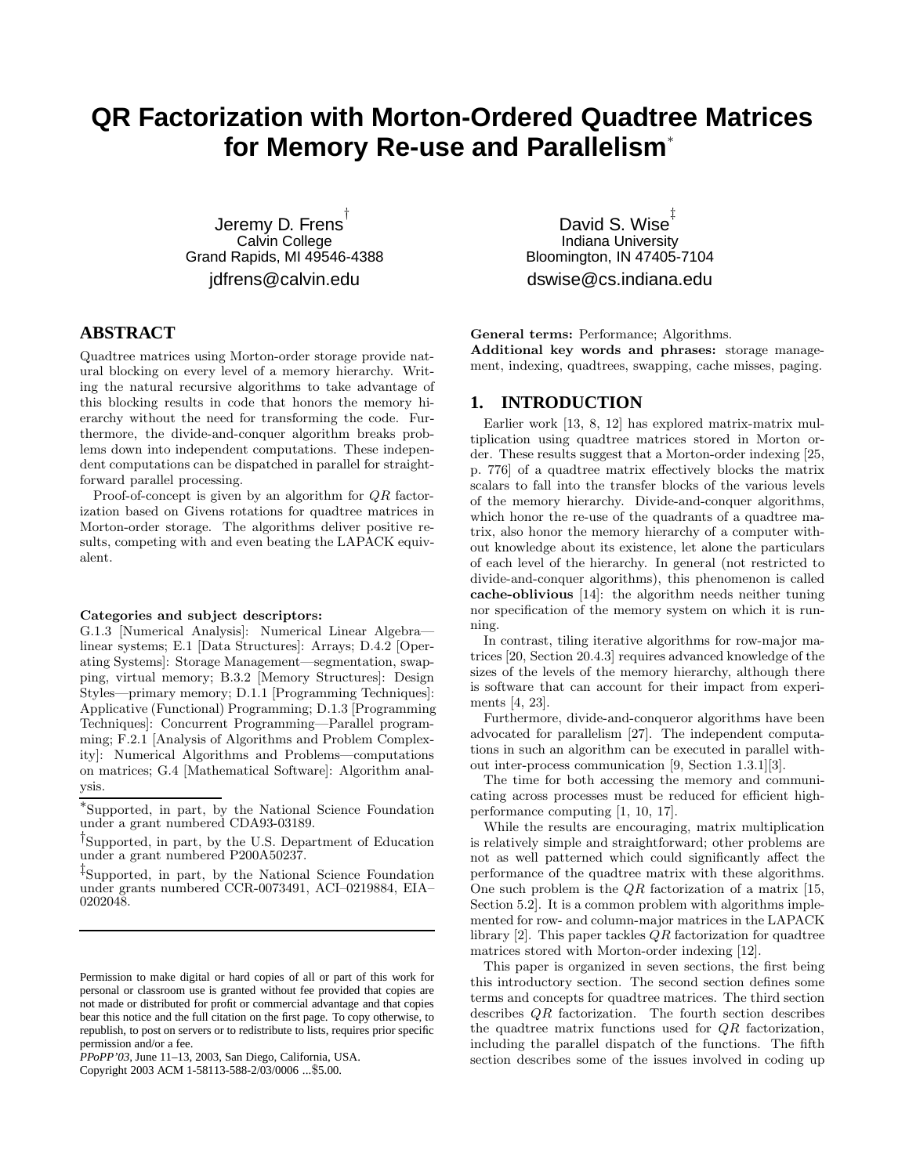# **QR Factorization with Morton-Ordered Quadtree Matrices for Memory Re-use and Parallelism**<sup>∗</sup>

Jeremy D. Frens ${}^{\bar{\text{\i}}}$ Calvin College Grand Rapids, MI 49546-4388 jdfrens@calvin.edu

# **ABSTRACT**

Quadtree matrices using Morton-order storage provide natural blocking on every level of a memory hierarchy. Writing the natural recursive algorithms to take advantage of this blocking results in code that honors the memory hierarchy without the need for transforming the code. Furthermore, the divide-and-conquer algorithm breaks problems down into independent computations. These independent computations can be dispatched in parallel for straightforward parallel processing.

Proof-of-concept is given by an algorithm for  $QR$  factorization based on Givens rotations for quadtree matrices in Morton-order storage. The algorithms deliver positive results, competing with and even beating the LAPACK equivalent.

#### Categories and subject descriptors:

G.1.3 [Numerical Analysis]: Numerical Linear Algebra linear systems; E.1 [Data Structures]: Arrays; D.4.2 [Operating Systems]: Storage Management—segmentation, swapping, virtual memory; B.3.2 [Memory Structures]: Design Styles—primary memory; D.1.1 [Programming Techniques]: Applicative (Functional) Programming; D.1.3 [Programming Techniques]: Concurrent Programming—Parallel programming; F.2.1 [Analysis of Algorithms and Problem Complexity]: Numerical Algorithms and Problems—computations on matrices; G.4 [Mathematical Software]: Algorithm analysis.

*PPoPP'03,* June 11–13, 2003, San Diego, California, USA.

Copyright 2003 ACM 1-58113-588-2/03/0006 ...\$5.00.

David S. Wise<sup>‡</sup> Indiana University Bloomington, IN 47405-7104 dswise@cs.indiana.edu

General terms: Performance; Algorithms.

Additional key words and phrases: storage management, indexing, quadtrees, swapping, cache misses, paging.

### **1. INTRODUCTION**

Earlier work [13, 8, 12] has explored matrix-matrix multiplication using quadtree matrices stored in Morton order. These results suggest that a Morton-order indexing [25, p. 776] of a quadtree matrix effectively blocks the matrix scalars to fall into the transfer blocks of the various levels of the memory hierarchy. Divide-and-conquer algorithms, which honor the re-use of the quadrants of a quadtree matrix, also honor the memory hierarchy of a computer without knowledge about its existence, let alone the particulars of each level of the hierarchy. In general (not restricted to divide-and-conquer algorithms), this phenomenon is called cache-oblivious [14]: the algorithm needs neither tuning nor specification of the memory system on which it is running.

In contrast, tiling iterative algorithms for row-major matrices [20, Section 20.4.3] requires advanced knowledge of the sizes of the levels of the memory hierarchy, although there is software that can account for their impact from experiments [4, 23].

Furthermore, divide-and-conqueror algorithms have been advocated for parallelism [27]. The independent computations in such an algorithm can be executed in parallel without inter-process communication [9, Section 1.3.1][3].

The time for both accessing the memory and communicating across processes must be reduced for efficient highperformance computing [1, 10, 17].

While the results are encouraging, matrix multiplication is relatively simple and straightforward; other problems are not as well patterned which could significantly affect the performance of the quadtree matrix with these algorithms. One such problem is the  $QR$  factorization of a matrix [15, Section 5.2]. It is a common problem with algorithms implemented for row- and column-major matrices in the LAPACK library [2]. This paper tackles  $QR$  factorization for quadtree matrices stored with Morton-order indexing [12].

This paper is organized in seven sections, the first being this introductory section. The second section defines some terms and concepts for quadtree matrices. The third section describes QR factorization. The fourth section describes the quadtree matrix functions used for QR factorization, including the parallel dispatch of the functions. The fifth section describes some of the issues involved in coding up

<sup>∗</sup> Supported, in part, by the National Science Foundation under a grant numbered CDA93-03189.

<sup>†</sup> Supported, in part, by the U.S. Department of Education under a grant numbered P200A50237.

<sup>‡</sup> Supported, in part, by the National Science Foundation under grants numbered CCR-0073491, ACI–0219884, EIA– 0202048.

Permission to make digital or hard copies of all or part of this work for personal or classroom use is granted without fee provided that copies are not made or distributed for profit or commercial advantage and that copies bear this notice and the full citation on the first page. To copy otherwise, to republish, to post on servers or to redistribute to lists, requires prior specific permission and/or a fee.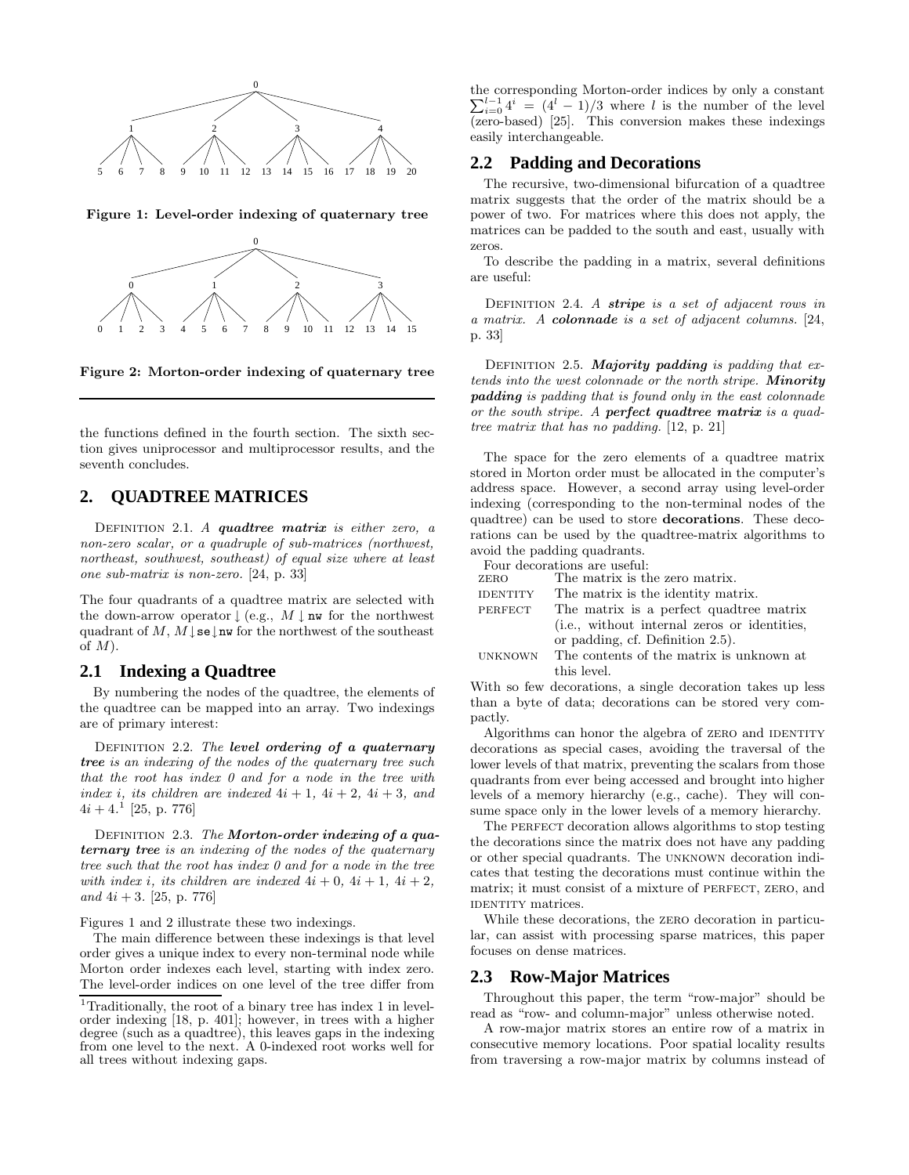

Figure 1: Level-order indexing of quaternary tree



Figure 2: Morton-order indexing of quaternary tree

the functions defined in the fourth section. The sixth section gives uniprocessor and multiprocessor results, and the seventh concludes.

# **2. QUADTREE MATRICES**

DEFINITION 2.1. A quadtree matrix is either zero,  $a$ non-zero scalar, or a quadruple of sub-matrices (northwest, northeast, southwest, southeast) of equal size where at least one sub-matrix is non-zero. [24, p. 33]

The four quadrants of a quadtree matrix are selected with the down-arrow operator  $\downarrow$  (e.g., M  $\downarrow$  nw for the northwest quadrant of M,  $M \, \downarrow \,$ se $\, \downarrow \,$ nw for the northwest of the southeast of  $M$ ).

#### **2.1 Indexing a Quadtree**

By numbering the nodes of the quadtree, the elements of the quadtree can be mapped into an array. Two indexings are of primary interest:

DEFINITION 2.2. The level ordering of a quaternary tree is an indexing of the nodes of the quaternary tree such that the root has index 0 and for a node in the tree with index i, its children are indexed  $4i + 1$ ,  $4i + 2$ ,  $4i + 3$ , and  $4i+4.^{\hat{1}}$  [25, p. 776]

DEFINITION 2.3. The Morton-order indexing of a quaternary tree is an indexing of the nodes of the quaternary tree such that the root has index 0 and for a node in the tree with index i, its children are indexed  $4i + 0$ ,  $4i + 1$ ,  $4i + 2$ , and  $4i + 3$ . [25, p. 776]

Figures 1 and 2 illustrate these two indexings.

The main difference between these indexings is that level order gives a unique index to every non-terminal node while Morton order indexes each level, starting with index zero. The level-order indices on one level of the tree differ from

the corresponding Morton-order indices by only a constant  $\sum_{i=0}^{l-1} 4^i = (4^l - 1)/3$  where l is the number of the level (zero-based) [25]. This conversion makes these indexings easily interchangeable.

# **2.2 Padding and Decorations**

The recursive, two-dimensional bifurcation of a quadtree matrix suggests that the order of the matrix should be a power of two. For matrices where this does not apply, the matrices can be padded to the south and east, usually with zeros.

To describe the padding in a matrix, several definitions are useful:

DEFINITION 2.4. A stripe is a set of adjacent rows in a matrix. A colonnade is a set of adjacent columns. [24, p. 33]

DEFINITION 2.5. Majority padding is padding that  $ex$ tends into the west colonnade or the north stripe. Minority padding is padding that is found only in the east colonnade or the south stripe. A perfect quadtree matrix is a quadtree matrix that has no padding. [12, p. 21]

The space for the zero elements of a quadtree matrix stored in Morton order must be allocated in the computer's address space. However, a second array using level-order indexing (corresponding to the non-terminal nodes of the quadtree) can be used to store decorations. These decorations can be used by the quadtree-matrix algorithms to avoid the padding quadrants.

Four decorations are useful:

| ZERO            | The matrix is the zero matrix.                        |
|-----------------|-------------------------------------------------------|
| <b>IDENTITY</b> | The matrix is the identity matrix.                    |
| PERFECT         | The matrix is a perfect quadtree matrix               |
|                 | ( <i>i.e.</i> , without internal zeros or identities, |
|                 | or padding, cf. Definition 2.5).                      |
| UNKNOWN         | The contents of the matrix is unknown at              |
|                 | this level.                                           |

With so few decorations, a single decoration takes up less than a byte of data; decorations can be stored very compactly.

Algorithms can honor the algebra of ZERO and IDENTITY decorations as special cases, avoiding the traversal of the lower levels of that matrix, preventing the scalars from those quadrants from ever being accessed and brought into higher levels of a memory hierarchy (e.g., cache). They will consume space only in the lower levels of a memory hierarchy.

The PERFECT decoration allows algorithms to stop testing the decorations since the matrix does not have any padding or other special quadrants. The unknown decoration indicates that testing the decorations must continue within the matrix; it must consist of a mixture of PERFECT, ZERO, and IDENTITY matrices.

While these decorations, the zero decoration in particular, can assist with processing sparse matrices, this paper focuses on dense matrices.

### **2.3 Row-Major Matrices**

Throughout this paper, the term "row-major" should be read as "row- and column-major" unless otherwise noted.

A row-major matrix stores an entire row of a matrix in consecutive memory locations. Poor spatial locality results from traversing a row-major matrix by columns instead of

 $1$ <sup>1</sup>Traditionally, the root of a binary tree has index 1 in levelorder indexing [18, p. 401]; however, in trees with a higher degree (such as a quadtree), this leaves gaps in the indexing from one level to the next. A 0-indexed root works well for all trees without indexing gaps.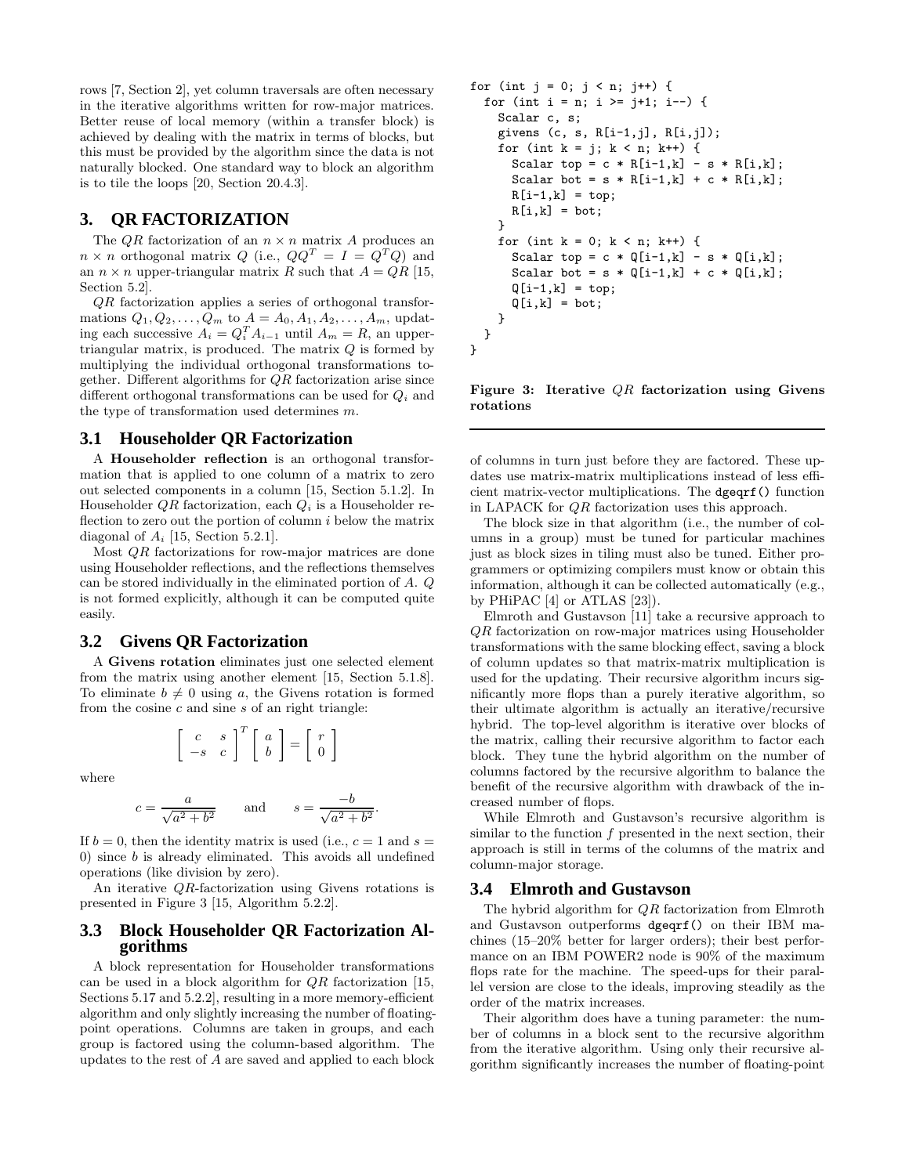rows [7, Section 2], yet column traversals are often necessary in the iterative algorithms written for row-major matrices. Better reuse of local memory (within a transfer block) is achieved by dealing with the matrix in terms of blocks, but this must be provided by the algorithm since the data is not naturally blocked. One standard way to block an algorithm is to tile the loops [20, Section 20.4.3].

# **3. QR FACTORIZATION**

The  $QR$  factorization of an  $n \times n$  matrix A produces an  $n \times n$  orthogonal matrix  $Q$  (i.e.,  $QQ^T = I = Q^T Q$ ) and an  $n \times n$  upper-triangular matrix R such that  $A = QR$  [15, Section 5.2].

QR factorization applies a series of orthogonal transformations  $Q_1, Q_2, ..., Q_m$  to  $A = A_0, A_1, A_2, ..., A_m$ , updating each successive  $A_i = Q_i^T A_{i-1}$  until  $A_m = R$ , an uppertriangular matrix, is produced. The matrix  $Q$  is formed by multiplying the individual orthogonal transformations together. Different algorithms for  $QR$  factorization arise since different orthogonal transformations can be used for  $Q_i$  and the type of transformation used determines m.

### **3.1 Householder QR Factorization**

A Householder reflection is an orthogonal transformation that is applied to one column of a matrix to zero out selected components in a column [15, Section 5.1.2]. In Householder  $QR$  factorization, each  $Q_i$  is a Householder reflection to zero out the portion of column  $i$  below the matrix diagonal of  $A_i$  [15, Section 5.2.1].

Most QR factorizations for row-major matrices are done using Householder reflections, and the reflections themselves can be stored individually in the eliminated portion of A. Q is not formed explicitly, although it can be computed quite easily.

#### **3.2 Givens QR Factorization**

A Givens rotation eliminates just one selected element from the matrix using another element [15, Section 5.1.8]. To eliminate  $b \neq 0$  using a, the Givens rotation is formed from the cosine  $c$  and sine  $s$  of an right triangle:

$$
\left[\begin{array}{cc} c & s \\ -s & c \end{array}\right]^T \left[\begin{array}{c} a \\ b \end{array}\right] = \left[\begin{array}{c} r \\ 0 \end{array}\right]
$$

where

$$
c = \frac{a}{\sqrt{a^2 + b^2}} \qquad \text{and} \qquad s = \frac{-b}{\sqrt{a^2 + b^2}}
$$

.

If  $b = 0$ , then the identity matrix is used (i.e.,  $c = 1$  and  $s =$ 0) since  $b$  is already eliminated. This avoids all undefined operations (like division by zero).

An iterative QR-factorization using Givens rotations is presented in Figure 3 [15, Algorithm 5.2.2].

### **3.3 Block Householder QR Factorization Algorithms**

A block representation for Householder transformations can be used in a block algorithm for  $QR$  factorization [15, Sections 5.17 and 5.2.2], resulting in a more memory-efficient algorithm and only slightly increasing the number of floatingpoint operations. Columns are taken in groups, and each group is factored using the column-based algorithm. The updates to the rest of A are saved and applied to each block

```
for (int j = 0; j < n; j++) {
  for (int i = n; i >= j+1; i--) {
    Scalar c, s;
    givens (c, s, R[i-1,j], R[i,j]);
    for (int k = j; k < n; k++) {
      Scalar top = c * R[i-1,k] - s * R[i,k];Scalar bot = s * R[i-1,k] + c * R[i,k];R[i-1,k] = top;R[i,k] = bot;}
    for (int k = 0; k < n; k++) {
      Scalar top = c * Q[i-1,k] - s * Q[i,k];Scalar bot = s * Q[i-1,k] + c * Q[i,k];
      Q[i-1,k] = top;Q[i,k] = bot;}
 }
}
```
Figure 3: Iterative  $QR$  factorization using Givens rotations

of columns in turn just before they are factored. These updates use matrix-matrix multiplications instead of less efficient matrix-vector multiplications. The dgeqrf() function in LAPACK for QR factorization uses this approach.

The block size in that algorithm (i.e., the number of columns in a group) must be tuned for particular machines just as block sizes in tiling must also be tuned. Either programmers or optimizing compilers must know or obtain this information, although it can be collected automatically (e.g., by PHiPAC [4] or ATLAS [23]).

Elmroth and Gustavson [11] take a recursive approach to QR factorization on row-major matrices using Householder transformations with the same blocking effect, saving a block of column updates so that matrix-matrix multiplication is used for the updating. Their recursive algorithm incurs significantly more flops than a purely iterative algorithm, so their ultimate algorithm is actually an iterative/recursive hybrid. The top-level algorithm is iterative over blocks of the matrix, calling their recursive algorithm to factor each block. They tune the hybrid algorithm on the number of columns factored by the recursive algorithm to balance the benefit of the recursive algorithm with drawback of the increased number of flops.

While Elmroth and Gustavson's recursive algorithm is similar to the function  $f$  presented in the next section, their approach is still in terms of the columns of the matrix and column-major storage.

# **3.4 Elmroth and Gustavson**

The hybrid algorithm for QR factorization from Elmroth and Gustavson outperforms dgeqrf() on their IBM machines (15–20% better for larger orders); their best performance on an IBM POWER2 node is 90% of the maximum flops rate for the machine. The speed-ups for their parallel version are close to the ideals, improving steadily as the order of the matrix increases.

Their algorithm does have a tuning parameter: the number of columns in a block sent to the recursive algorithm from the iterative algorithm. Using only their recursive algorithm significantly increases the number of floating-point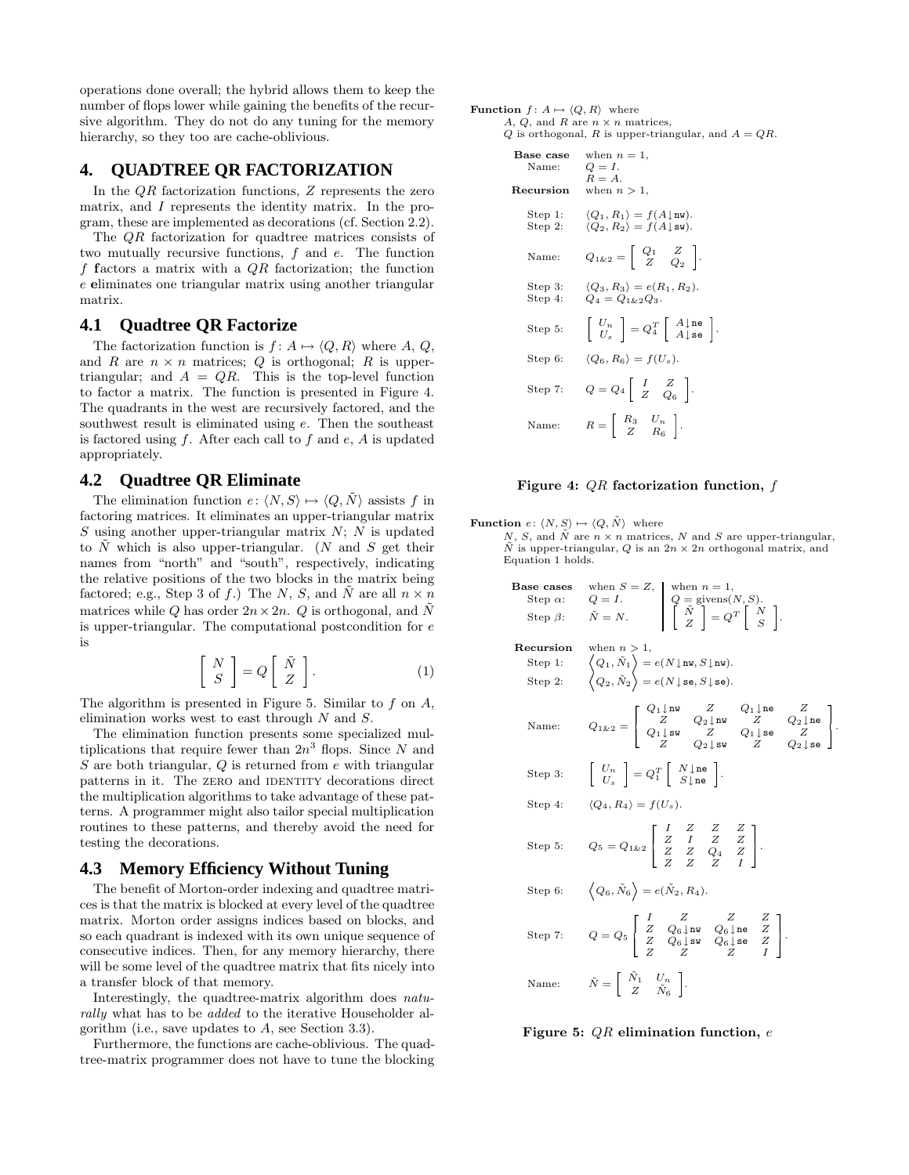operations done overall; the hybrid allows them to keep the number of flops lower while gaining the benefits of the recursive algorithm. They do not do any tuning for the memory hierarchy, so they too are cache-oblivious.

# **4. QUADTREE QR FACTORIZATION**

In the  $QR$  factorization functions,  $Z$  represents the zero matrix, and I represents the identity matrix. In the program, these are implemented as decorations (cf. Section 2.2).

The QR factorization for quadtree matrices consists of two mutually recursive functions,  $f$  and  $e$ . The function f factors a matrix with a  $QR$  factorization; the function e eliminates one triangular matrix using another triangular matrix.

# **4.1 Quadtree QR Factorize**

The factorization function is  $f: A \mapsto \langle Q, R \rangle$  where A, Q, and R are  $n \times n$  matrices; Q is orthogonal; R is uppertriangular; and  $A = QR$ . This is the top-level function to factor a matrix. The function is presented in Figure 4. The quadrants in the west are recursively factored, and the southwest result is eliminated using e. Then the southeast is factored using  $f$ . After each call to  $f$  and  $e$ ,  $A$  is updated appropriately.

# **4.2 Quadtree QR Eliminate**

The elimination function  $e: \langle N, S \rangle \mapsto \langle Q, N \rangle$  assists f in factoring matrices. It eliminates an upper-triangular matrix S using another upper-triangular matrix  $N$ ;  $N$  is updated to  $\overline{N}$  which is also upper-triangular. (N and S get their names from "north" and "south", respectively, indicating the relative positions of the two blocks in the matrix being factored; e.g., Step 3 of f.) The N, S, and N are all  $n \times n$ matrices while Q has order  $2n \times 2n$ . Q is orthogonal, and  $\tilde{N}$ is upper-triangular. The computational postcondition for e is

$$
\left[\begin{array}{c} N \\ S \end{array}\right] = Q \left[\begin{array}{c} \tilde{N} \\ Z \end{array}\right].
$$
 (1)

The algorithm is presented in Figure 5. Similar to  $f$  on  $A$ , elimination works west to east through  $N$  and  $S$ .

The elimination function presents some specialized multiplications that require fewer than  $2n^3$  flops. Since N and  $S$  are both triangular,  $Q$  is returned from  $e$  with triangular patterns in it. The ZERO and IDENTITY decorations direct the multiplication algorithms to take advantage of these patterns. A programmer might also tailor special multiplication routines to these patterns, and thereby avoid the need for testing the decorations.

### **4.3 Memory Efficiency Without Tuning**

The benefit of Morton-order indexing and quadtree matrices is that the matrix is blocked at every level of the quadtree matrix. Morton order assigns indices based on blocks, and so each quadrant is indexed with its own unique sequence of consecutive indices. Then, for any memory hierarchy, there will be some level of the quadtree matrix that fits nicely into a transfer block of that memory.

Interestingly, the quadtree-matrix algorithm does naturally what has to be *added* to the iterative Householder algorithm (i.e., save updates to A, see Section 3.3).

Furthermore, the functions are cache-oblivious. The quadtree-matrix programmer does not have to tune the blocking

#### **Function**  $f: A \mapsto \langle Q, R \rangle$  where A,  $\ddot{Q}$ , and R are  $n \times n$  matrices,

Q is orthogonal, R is upper-triangular, and  $A = QR$ .

```
Base case when n = 1,<br>Name: Q = I.
                                   Q = I.
                                    \dot{R} = A.Recursion when n > 1,
        Step 1: \langle Q_1, R_1 \rangle = f(A \downarrow \text{nw}).<br>Step 2: \langle Q_2, R_2 \rangle = f(A \downarrow \text{sw}).Name: Q_{1\&2} = \begin{bmatrix} Q_1 & Z \\ Z & Q_2 \end{bmatrix}\begin{array}{cc} z & -z \ Z & Q_2 \end{array}.
        Step 3: \langle Q_3, R_3 \rangle = e(R_1, R_2).<br>Step 4: Q_4 = Q_{1\&2}Q_3.
        Step 5: \begin{bmatrix} U_n \\ U_s \end{bmatrix} = Q_4^T \begin{bmatrix} A \downarrow \mathbf{ne} \\ A \downarrow \mathbf{se} \end{bmatrix}.
       Step 6: \langle Q_6, R_6 \rangle = f(U_s).Step 7: Q = Q_4 \begin{bmatrix} I & Z \\ Z & Q \end{bmatrix}\begin{array}{ccc} \mathbf{Z} & \mathbf{Z} \\ \mathbf{Z} & \mathbf{Q}_6 \end{array}.
        Name: R = \begin{bmatrix} R_3 & U_n \\ Z & R_2 \end{bmatrix}\begin{array}{cc} \mathcal{L}_3 & \circ n \\ Z & R_6 \end{array}.
```
#### Figure 4: QR factorization function, f

**Function**  $e: \langle N, S \rangle \mapsto \langle Q, \tilde{N} \rangle$  where

N, S, and  $\tilde{N}$  are  $n \times n$  matrices, N and S are upper-triangular,  $\tilde{N}$  is upper-triangular, Q is an  $2n \times 2n$  orthogonal matrix, and Equation 1 holds.

Base cases when 
$$
S = Z
$$
, when  $n = 1$ ,  
\nStep  $\alpha$ :  $Q = I$ .  
\nStep  $\beta$ :  $\tilde{N} = N$ .  
\nStep  $\beta$ :  $\tilde{N} = N$ .  
\nStep 1:  $\begin{pmatrix} Q_1, \tilde{N}_1 \end{pmatrix} = e(N \mid \text{nw}, S \mid \text{nw})$ .  
\nStep 2:  $\begin{pmatrix} Q_1, \tilde{N}_1 \end{pmatrix} = e(N \mid \text{nw}, S \mid \text{nw})$ .  
\nStep 2:  $\begin{pmatrix} Q_1, \tilde{N}_1 \end{pmatrix} = e(N \mid \text{sw}, S \mid \text{sw})$ .  
\nName:  $Q_1 \& Q_2, \tilde{N}_2 = e(N \mid \text{se}, S \mid \text{se})$ .  
\nName:  $Q_1 \& Q_2 \mid \text{nw} \quad Z$ :  $Q_2 \mid \text{me} \quad Z$ .  
\nStep 3:  $\begin{bmatrix} U_n \\ U_s \end{bmatrix} = Q_1^T \begin{bmatrix} N \mid \text{ne} \\ S \mid \text{ne} \end{bmatrix}$ .  
\nStep 4:  $\begin{pmatrix} Q_4, R_4 \end{pmatrix} = f(U_s)$ .  
\nStep 5:  $Q_5 = Q_1 \& 2 \quad Z \quad Z$ :  $Z$   
\nStep 6:  $\begin{pmatrix} Q_6, \tilde{N}_6 \end{pmatrix} = e(\tilde{N}_2, R_4)$ .  
\nStep 7:  $Q = Q_5 \begin{bmatrix} I & Z & Z & Z \\ Z & Q_6 \mid \text{nw} & Q_6 \mid \text{ne} \quad Z \\ Z & Z & Z & I \end{bmatrix}$ .  
\nName:  $\tilde{N} = \begin{bmatrix} \tilde{N}_1 & U_n \\ Z & \tilde{N}_6 \end{bmatrix}$ .

Figure 5: QR elimination function, e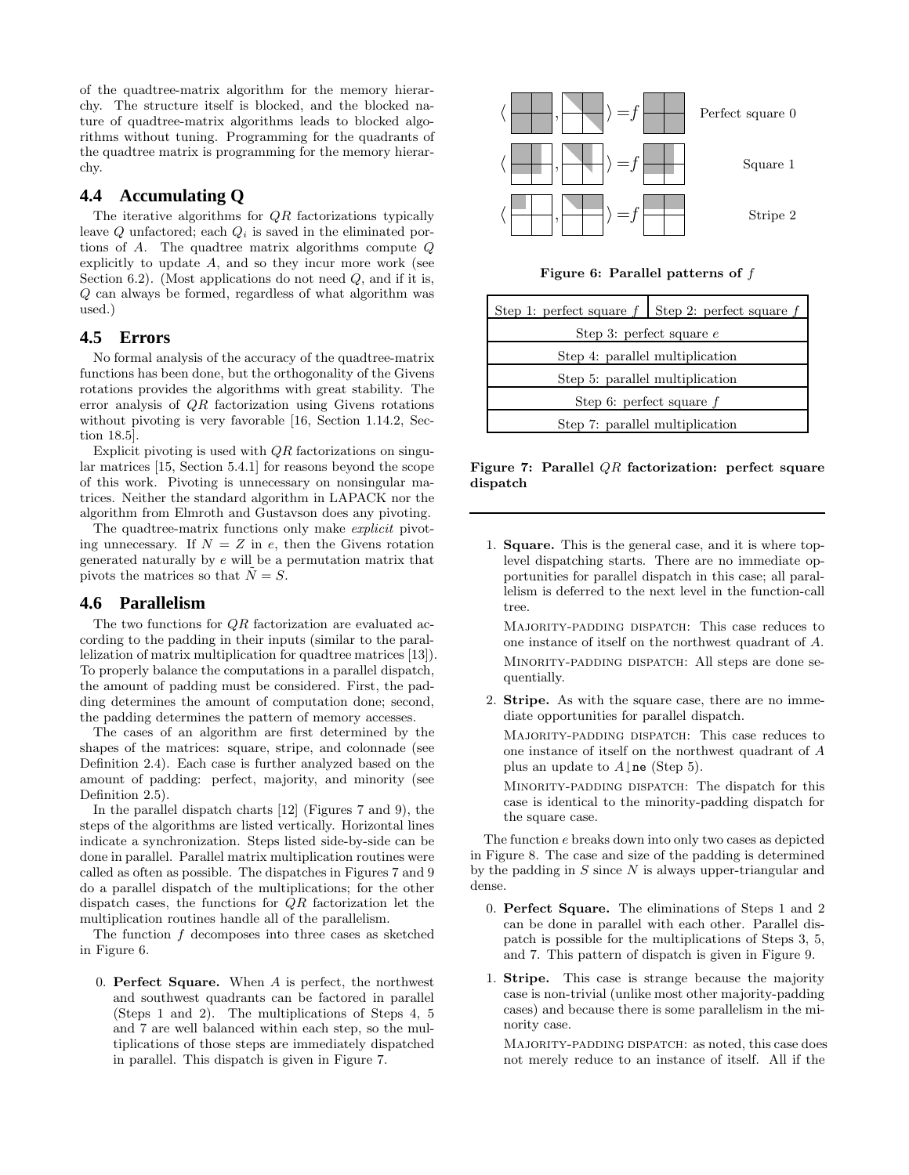of the quadtree-matrix algorithm for the memory hierarchy. The structure itself is blocked, and the **BStrag** replacements ture of quadtree-matrix algorithms leads to blocked algorithms without tuning. Programming for the quadrants of the quadtree matrix is programming for the memory hierarchy.

# **4.4 Accumulating Q**

The iterative algorithms for QR factorizations typically leave  $Q$  unfactored; each  $Q_i$  is saved in the eliminated portions of A. The quadtree matrix algorithms compute Q explicitly to update A, and so they incur more work (see Section 6.2). (Most applications do not need  $Q$ , and if it is, Q can always be formed, regardless of what algorithm was used.)

# **4.5 Errors**

No formal analysis of the accuracy of the quadtree-matrix functions has been done, but the orthogonality of the Givens rotations provides the algorithms with great stability. The error analysis of  $QR$  factorization using Givens rotations without pivoting is very favorable [16, Section 1.14.2, Section 18.5].

Explicit pivoting is used with  $QR$  factorizations on singular matrices [15, Section 5.4.1] for reasons beyond the scope of this work. Pivoting is unnecessary on nonsingular matrices. Neither the standard algorithm in LAPACK nor the algorithm from Elmroth and Gustavson does any pivoting.

The quadtree-matrix functions only make explicit pivoting unnecessary. If  $N = Z$  in e, then the Givens rotation generated naturally by e will be a permutation matrix that pivots the matrices so that  $\tilde{N} = S$ .

# **4.6 Parallelism**

The two functions for  ${\mathcal{Q}} R$  factorization are evaluated according to the padding in their inputs (similar to the parallelization of matrix multiplication for quadtree matrices [13]). To properly balance the computations in a parallel dispatch, the amount of padding must be considered. First, the padding determines the amount of computation done; second, the padding determines the pattern of memory accesses.

The cases of an algorithm are first determined by the shapes of the matrices: square, stripe, and colonnade (see Definition 2.4). Each case is further analyzed based on the amount of padding: perfect, majority, and minority (see Definition 2.5).

In the parallel dispatch charts [12] (Figures 7 and 9), the steps of the algorithms are listed vertically. Horizontal lines indicate a synchronization. Steps listed side-by-side can be done in parallel. Parallel matrix multiplication routines were called as often as possible. The dispatches in Figures 7 and 9 do a parallel dispatch of the multiplications; for the other dispatch cases, the functions for  $QR$  factorization let the multiplication routines handle all of the parallelism.

The function f decomposes into three cases as sketched in Figure 6.

0. Perfect Square. When  $A$  is perfect, the northwest and southwest quadrants can be factored in parallel (Steps 1 and 2). The multiplications of Steps 4, 5 and 7 are well balanced within each step, so the multiplications of those steps are immediately dispatched in parallel. This dispatch is given in Figure 7.



Figure 6: Parallel patterns of f

|                                 | Step 1: perfect square $f \mid$ Step 2: perfect square $f \mid$ |  |  |  |
|---------------------------------|-----------------------------------------------------------------|--|--|--|
| Step 3: perfect square $e$      |                                                                 |  |  |  |
| Step 4: parallel multiplication |                                                                 |  |  |  |
| Step 5: parallel multiplication |                                                                 |  |  |  |
| Step 6: perfect square $f$      |                                                                 |  |  |  |
| Step 7: parallel multiplication |                                                                 |  |  |  |

Figure 7: Parallel QR factorization: perfect square dispatch

1. Square. This is the general case, and it is where toplevel dispatching starts. There are no immediate opportunities for parallel dispatch in this case; all parallelism is deferred to the next level in the function-call tree.

Majority-padding dispatch: This case reduces to one instance of itself on the northwest quadrant of A. MINORITY-PADDING DISPATCH: All steps are done sequentially.

2. Stripe. As with the square case, there are no immediate opportunities for parallel dispatch.

Majority-padding dispatch: This case reduces to one instance of itself on the northwest quadrant of A plus an update to  $A\downarrow$ **ne** (Step 5).

MINORITY-PADDING DISPATCH: The dispatch for this case is identical to the minority-padding dispatch for the square case.

The function e breaks down into only two cases as depicted in Figure 8. The case and size of the padding is determined by the padding in  $S$  since  $N$  is always upper-triangular and dense.

- 0. Perfect Square. The eliminations of Steps 1 and 2 can be done in parallel with each other. Parallel dispatch is possible for the multiplications of Steps 3, 5, and 7. This pattern of dispatch is given in Figure 9.
- 1. Stripe. This case is strange because the majority case is non-trivial (unlike most other majority-padding cases) and because there is some parallelism in the minority case.

Majority-padding dispatch: as noted, this case does not merely reduce to an instance of itself. All if the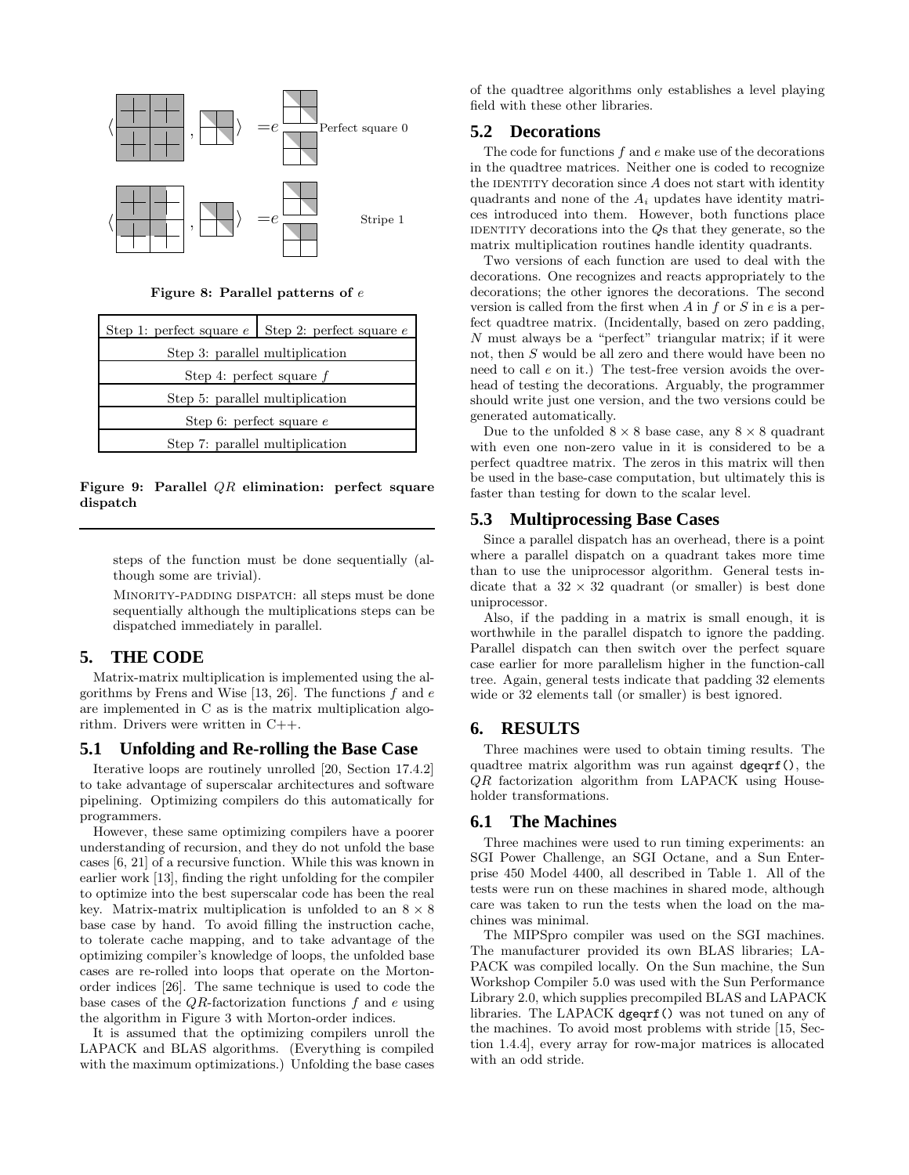

Figure 8: Parallel patterns of e

|                                 | Step 1: perfect square $e \mid$ Step 2: perfect square $e$ |  |  |  |
|---------------------------------|------------------------------------------------------------|--|--|--|
| Step 3: parallel multiplication |                                                            |  |  |  |
| Step 4: perfect square $f$      |                                                            |  |  |  |
| Step 5: parallel multiplication |                                                            |  |  |  |
| Step 6: perfect square $e$      |                                                            |  |  |  |
| Step 7: parallel multiplication |                                                            |  |  |  |

Figure 9: Parallel QR elimination: perfect square dispatch

steps of the function must be done sequentially (although some are trivial).

MINORITY-PADDING DISPATCH: all steps must be done sequentially although the multiplications steps can be dispatched immediately in parallel.

# **5. THE CODE**

Matrix-matrix multiplication is implemented using the algorithms by Frens and Wise [13, 26]. The functions  $f$  and  $e$ are implemented in C as is the matrix multiplication algorithm. Drivers were written in C++.

### **5.1 Unfolding and Re-rolling the Base Case**

Iterative loops are routinely unrolled [20, Section 17.4.2] to take advantage of superscalar architectures and software pipelining. Optimizing compilers do this automatically for programmers.

However, these same optimizing compilers have a poorer understanding of recursion, and they do not unfold the base cases [6, 21] of a recursive function. While this was known in earlier work [13], finding the right unfolding for the compiler to optimize into the best superscalar code has been the real key. Matrix-matrix multiplication is unfolded to an  $8 \times 8$ base case by hand. To avoid filling the instruction cache, to tolerate cache mapping, and to take advantage of the optimizing compiler's knowledge of loops, the unfolded base cases are re-rolled into loops that operate on the Mortonorder indices [26]. The same technique is used to code the base cases of the  $QR$ -factorization functions f and e using the algorithm in Figure 3 with Morton-order indices.

It is assumed that the optimizing compilers unroll the LAPACK and BLAS algorithms. (Everything is compiled with the maximum optimizations.) Unfolding the base cases of the quadtree algorithms only establishes a level playing field with these other libraries.

# **5.2 Decorations**

The code for functions  $f$  and  $e$  make use of the decorations in the quadtree matrices. Neither one is coded to recognize the IDENTITY decoration since  $A$  does not start with identity quadrants and none of the  $A_i$  updates have identity matrices introduced into them. However, both functions place IDENTITY decorations into the  $Q_s$  that they generate, so the matrix multiplication routines handle identity quadrants.

Two versions of each function are used to deal with the decorations. One recognizes and reacts appropriately to the decorations; the other ignores the decorations. The second version is called from the first when  $A$  in  $f$  or  $S$  in  $e$  is a perfect quadtree matrix. (Incidentally, based on zero padding, N must always be a "perfect" triangular matrix; if it were not, then S would be all zero and there would have been no need to call e on it.) The test-free version avoids the overhead of testing the decorations. Arguably, the programmer should write just one version, and the two versions could be generated automatically.

Due to the unfolded  $8 \times 8$  base case, any  $8 \times 8$  quadrant with even one non-zero value in it is considered to be a perfect quadtree matrix. The zeros in this matrix will then be used in the base-case computation, but ultimately this is faster than testing for down to the scalar level.

### **5.3 Multiprocessing Base Cases**

Since a parallel dispatch has an overhead, there is a point where a parallel dispatch on a quadrant takes more time than to use the uniprocessor algorithm. General tests indicate that a  $32 \times 32$  quadrant (or smaller) is best done uniprocessor.

Also, if the padding in a matrix is small enough, it is worthwhile in the parallel dispatch to ignore the padding. Parallel dispatch can then switch over the perfect square case earlier for more parallelism higher in the function-call tree. Again, general tests indicate that padding 32 elements wide or 32 elements tall (or smaller) is best ignored.

#### **6. RESULTS**

Three machines were used to obtain timing results. The quadtree matrix algorithm was run against dgeqrf(), the QR factorization algorithm from LAPACK using Householder transformations.

#### **6.1 The Machines**

Three machines were used to run timing experiments: an SGI Power Challenge, an SGI Octane, and a Sun Enterprise 450 Model 4400, all described in Table 1. All of the tests were run on these machines in shared mode, although care was taken to run the tests when the load on the machines was minimal.

The MIPSpro compiler was used on the SGI machines. The manufacturer provided its own BLAS libraries; LA-PACK was compiled locally. On the Sun machine, the Sun Workshop Compiler 5.0 was used with the Sun Performance Library 2.0, which supplies precompiled BLAS and LAPACK libraries. The LAPACK dgeqrf() was not tuned on any of the machines. To avoid most problems with stride [15, Section 1.4.4], every array for row-major matrices is allocated with an odd stride.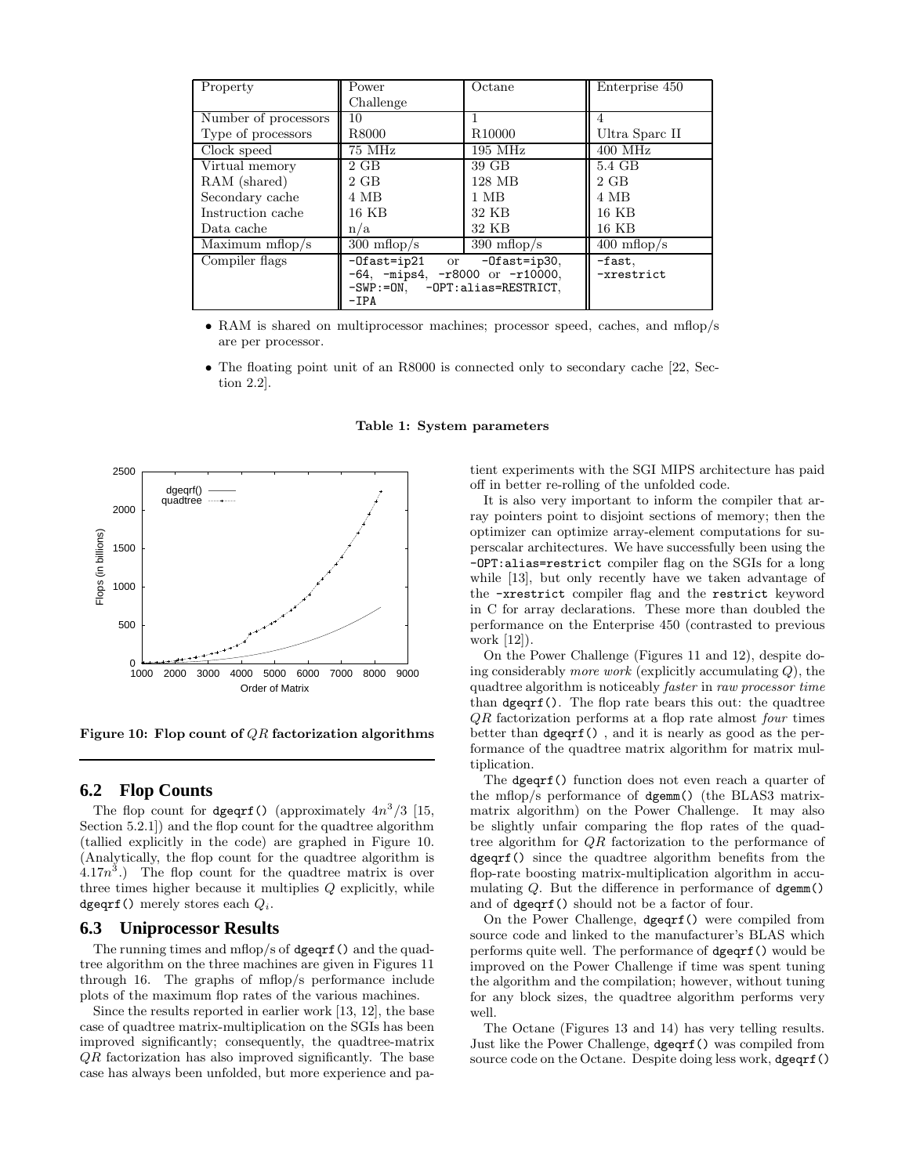| Property                 | Power                                          | Octane                | Enterprise 450        |
|--------------------------|------------------------------------------------|-----------------------|-----------------------|
|                          | Challenge                                      |                       |                       |
| Number of processors     | 10                                             |                       | 4                     |
| Type of processors       | R8000                                          | R <sub>10000</sub>    | Ultra Sparc II        |
| Clock speed              | 75 MHz                                         | $195$ MHz             | $400$ MHz             |
| Virtual memory           | $2$ GB                                         | 39 GB                 | 5.4 GB                |
| RAM (shared)             | $2$ GB                                         | 128 MB                | $2$ GB                |
| Secondary cache          | 4 MB                                           | 1 MB                  | 4 MB                  |
| Instruction cache        | $16\,$ KB                                      | 32 KB                 | 16 KB                 |
| Data cache               | n/a                                            | 32 KB                 | 16 KB                 |
| Maximum $m\text{flop/s}$ | $300 \text{ mflop/s}$                          | $390 \text{ mflop/s}$ | $400 \text{ mflop/s}$ |
| Compiler flags           | $-0$ fast=ip21 or                              | -fast,                |                       |
|                          | $-64$ , $-mips4$ , $-r8000$ or $-r10000$ ,     | -xrestrict            |                       |
|                          | $-SWP := ON$ , $-OPT: \text{alias}=RESTATET$ , |                       |                       |
|                          | $-TPA$                                         |                       |                       |

• RAM is shared on multiprocessor machines; processor speed, caches, and mflop/s are per processor.

• The floating point unit of an R8000 is connected only to secondary cache [22, Section 2.2].



Table 1: System parameters

tient experiments with the SGI MIPS architecture has paid off in better re-rolling of the unfolded code.

It is also very important to inform the compiler that array pointers point to disjoint sections of memory; then the optimizer can optimize array-element computations for superscalar architectures. We have successfully been using the -OPT:alias=restrict compiler flag on the SGIs for a long while [13], but only recently have we taken advantage of the -xrestrict compiler flag and the restrict keyword in C for array declarations. These more than doubled the performance on the Enterprise 450 (contrasted to previous work [12]).

On the Power Challenge (Figures 11 and 12), despite doing considerably *more work* (explicitly accumulating  $Q$ ), the quadtree algorithm is noticeably faster in raw processor time than dgeqrf(). The flop rate bears this out: the quadtree  $QR$  factorization performs at a flop rate almost *four* times better than dgeqrf() , and it is nearly as good as the performance of the quadtree matrix algorithm for matrix multiplication.

The dgeqrf() function does not even reach a quarter of the mflop/s performance of dgemm() (the BLAS3 matrixmatrix algorithm) on the Power Challenge. It may also be slightly unfair comparing the flop rates of the quadtree algorithm for QR factorization to the performance of dgeqrf() since the quadtree algorithm benefits from the flop-rate boosting matrix-multiplication algorithm in accumulating Q. But the difference in performance of dgemm() and of dgeqrf() should not be a factor of four.

On the Power Challenge, dgeqrf() were compiled from source code and linked to the manufacturer's BLAS which performs quite well. The performance of dgeqrf() would be improved on the Power Challenge if time was spent tuning the algorithm and the compilation; however, without tuning for any block sizes, the quadtree algorithm performs very well.

The Octane (Figures 13 and 14) has very telling results. Just like the Power Challenge, dgeqrf() was compiled from source code on the Octane. Despite doing less work, dgeqrf()

Figure 10: Flop count of  $QR$  factorization algorithms

# **6.2 Flop Counts**

The flop count for dgeqrf() (approximately  $4n^3/3$  [15, Section 5.2.1) and the flop count for the quadtree algorithm (tallied explicitly in the code) are graphed in Figure 10. (Analytically, the flop count for the quadtree algorithm is  $\hat{4}.17n^3$ .) The flop count for the quadtree matrix is over three times higher because it multiplies Q explicitly, while dgeqrf() merely stores each  $Q_i$ .

### **6.3 Uniprocessor Results**

The running times and mflop/s of dgeqrf() and the quadtree algorithm on the three machines are given in Figures 11 through 16. The graphs of mflop/s performance include plots of the maximum flop rates of the various machines.

Since the results reported in earlier work [13, 12], the base case of quadtree matrix-multiplication on the SGIs has been improved significantly; consequently, the quadtree-matrix QR factorization has also improved significantly. The base case has always been unfolded, but more experience and pa-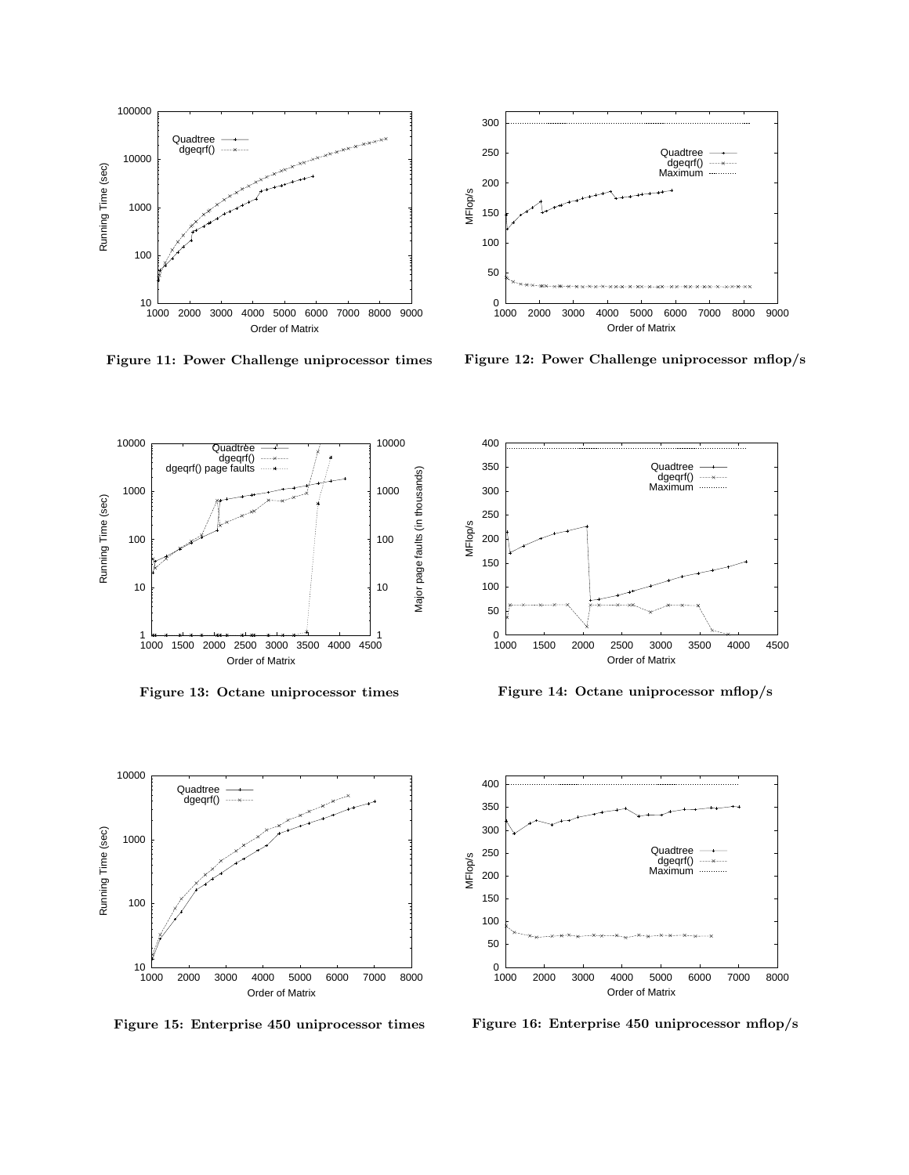

Figure 11: Power Challenge uniprocessor times



Figure 12: Power Challenge uniprocessor mflop/s



Figure 13: Octane uniprocessor times



Figure 14: Octane uniprocessor mflop/s



Figure 15: Enterprise 450 uniprocessor times



Figure 16: Enterprise 450 uniprocessor mflop/s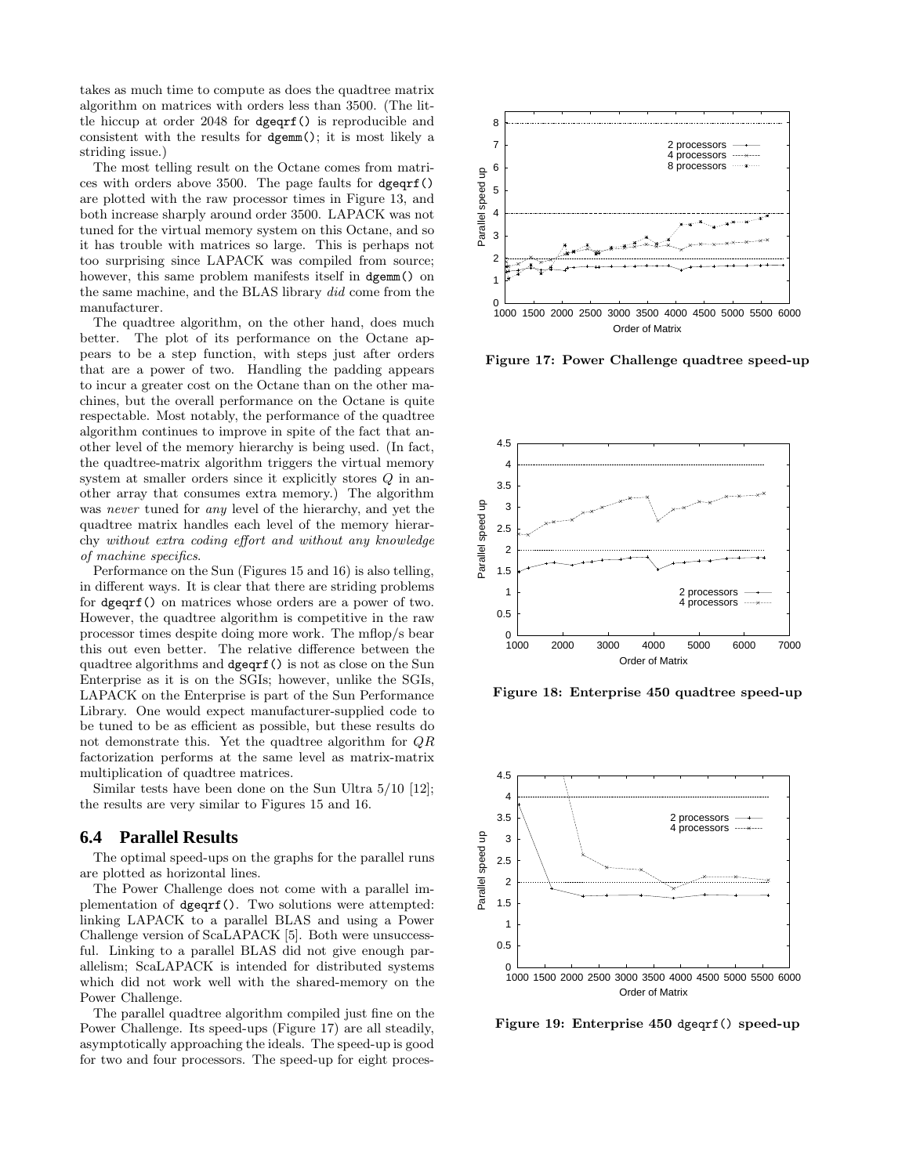takes as much time to compute as does the quadtree matrix algorithm on matrices with orders less than 3500. (The little hiccup at order 2048 for dgeqrf() is reproducible and consistent with the results for dgemm(); it is most likely a striding issue.)

The most telling result on the Octane comes from matrices with orders above 3500. The page faults for dgeqrf() are plotted with the raw processor times in Figure 13, and both increase sharply around order 3500. LAPACK was not tuned for the virtual memory system on this Octane, and so it has trouble with matrices so large. This is perhaps not too surprising since LAPACK was compiled from source; however, this same problem manifests itself in dgemm() on the same machine, and the BLAS library did come from the manufacturer.

The quadtree algorithm, on the other hand, does much better. The plot of its performance on the Octane appears to be a step function, with steps just after orders that are a power of two. Handling the padding appears to incur a greater cost on the Octane than on the other machines, but the overall performance on the Octane is quite respectable. Most notably, the performance of the quadtree algorithm continues to improve in spite of the fact that another level of the memory hierarchy is being used. (In fact, the quadtree-matrix algorithm triggers the virtual memory system at smaller orders since it explicitly stores  $Q$  in another array that consumes extra memory.) The algorithm was *never* tuned for *any* level of the hierarchy, and yet the quadtree matrix handles each level of the memory hierarchy without extra coding effort and without any knowledge of machine specifics.

Performance on the Sun (Figures 15 and 16) is also telling, in different ways. It is clear that there are striding problems for dgeqrf() on matrices whose orders are a power of two. However, the quadtree algorithm is competitive in the raw processor times despite doing more work. The mflop/s bear this out even better. The relative difference between the quadtree algorithms and dgeqrf() is not as close on the Sun Enterprise as it is on the SGIs; however, unlike the SGIs, LAPACK on the Enterprise is part of the Sun Performance Library. One would expect manufacturer-supplied code to be tuned to be as efficient as possible, but these results do not demonstrate this. Yet the quadtree algorithm for QR factorization performs at the same level as matrix-matrix multiplication of quadtree matrices.

Similar tests have been done on the Sun Ultra 5/10 [12]; the results are very similar to Figures 15 and 16.

#### **6.4 Parallel Results**

The optimal speed-ups on the graphs for the parallel runs are plotted as horizontal lines.

The Power Challenge does not come with a parallel implementation of dgeqrf(). Two solutions were attempted: linking LAPACK to a parallel BLAS and using a Power Challenge version of ScaLAPACK [5]. Both were unsuccessful. Linking to a parallel BLAS did not give enough parallelism; ScaLAPACK is intended for distributed systems which did not work well with the shared-memory on the Power Challenge.

The parallel quadtree algorithm compiled just fine on the Power Challenge. Its speed-ups (Figure 17) are all steadily, asymptotically approaching the ideals. The speed-up is good for two and four processors. The speed-up for eight proces-



Figure 17: Power Challenge quadtree speed-up



Figure 18: Enterprise 450 quadtree speed-up



Figure 19: Enterprise 450 dgeqrf() speed-up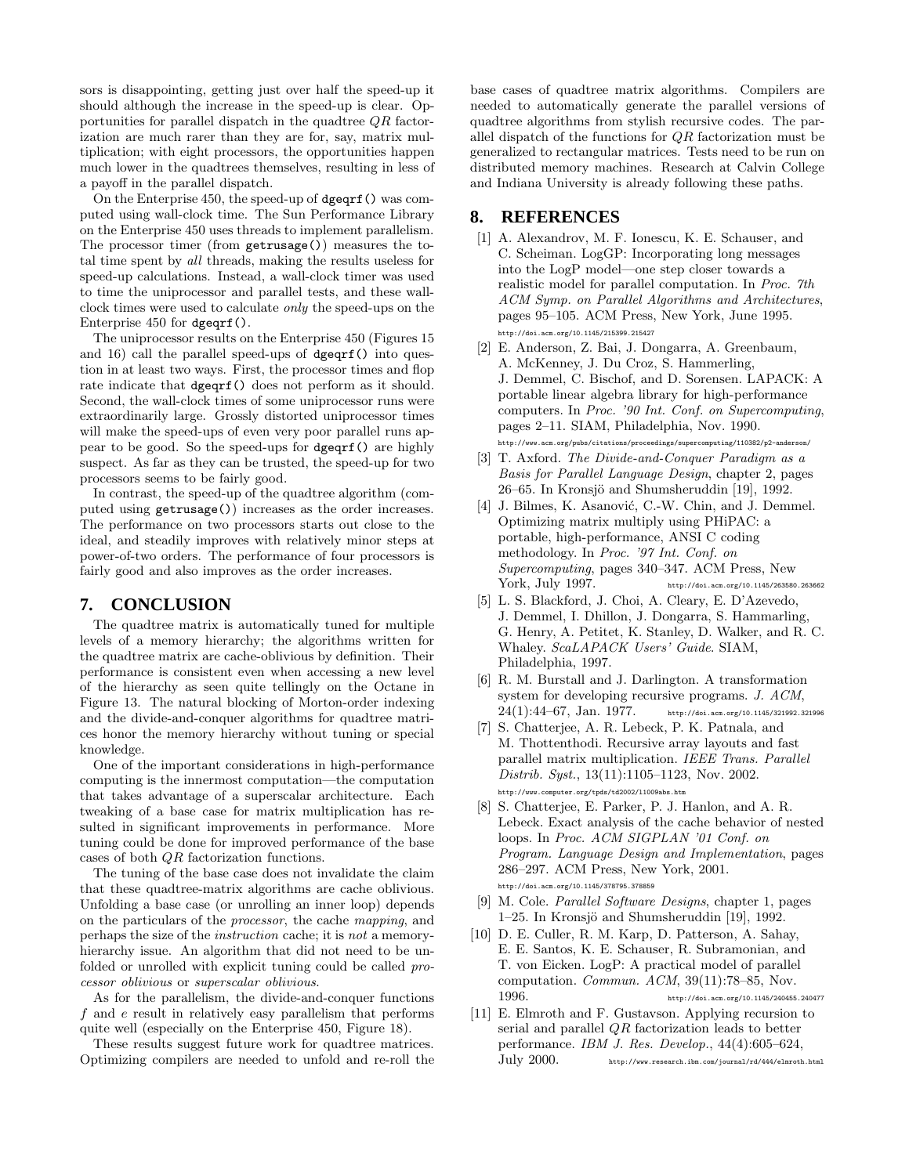sors is disappointing, getting just over half the speed-up it should although the increase in the speed-up is clear. Opportunities for parallel dispatch in the quadtree  $QR$  factorization are much rarer than they are for, say, matrix multiplication; with eight processors, the opportunities happen much lower in the quadtrees themselves, resulting in less of a payoff in the parallel dispatch.

On the Enterprise 450, the speed-up of dgeqrf() was computed using wall-clock time. The Sun Performance Library on the Enterprise 450 uses threads to implement parallelism. The processor timer (from getrusage()) measures the total time spent by all threads, making the results useless for speed-up calculations. Instead, a wall-clock timer was used to time the uniprocessor and parallel tests, and these wallclock times were used to calculate only the speed-ups on the Enterprise 450 for dgeqrf().

The uniprocessor results on the Enterprise 450 (Figures 15 and 16) call the parallel speed-ups of dgeqrf() into question in at least two ways. First, the processor times and flop rate indicate that dgeqrf() does not perform as it should. Second, the wall-clock times of some uniprocessor runs were extraordinarily large. Grossly distorted uniprocessor times will make the speed-ups of even very poor parallel runs appear to be good. So the speed-ups for dgeqrf() are highly suspect. As far as they can be trusted, the speed-up for two processors seems to be fairly good.

In contrast, the speed-up of the quadtree algorithm (computed using getrusage()) increases as the order increases. The performance on two processors starts out close to the ideal, and steadily improves with relatively minor steps at power-of-two orders. The performance of four processors is fairly good and also improves as the order increases.

## **7. CONCLUSION**

The quadtree matrix is automatically tuned for multiple levels of a memory hierarchy; the algorithms written for the quadtree matrix are cache-oblivious by definition. Their performance is consistent even when accessing a new level of the hierarchy as seen quite tellingly on the Octane in Figure 13. The natural blocking of Morton-order indexing and the divide-and-conquer algorithms for quadtree matrices honor the memory hierarchy without tuning or special knowledge.

One of the important considerations in high-performance computing is the innermost computation—the computation that takes advantage of a superscalar architecture. Each tweaking of a base case for matrix multiplication has resulted in significant improvements in performance. More tuning could be done for improved performance of the base cases of both QR factorization functions.

The tuning of the base case does not invalidate the claim that these quadtree-matrix algorithms are cache oblivious. Unfolding a base case (or unrolling an inner loop) depends on the particulars of the processor, the cache mapping, and perhaps the size of the instruction cache; it is not a memoryhierarchy issue. An algorithm that did not need to be unfolded or unrolled with explicit tuning could be called processor oblivious or superscalar oblivious.

As for the parallelism, the divide-and-conquer functions f and e result in relatively easy parallelism that performs quite well (especially on the Enterprise 450, Figure 18).

These results suggest future work for quadtree matrices. Optimizing compilers are needed to unfold and re-roll the base cases of quadtree matrix algorithms. Compilers are needed to automatically generate the parallel versions of quadtree algorithms from stylish recursive codes. The parallel dispatch of the functions for QR factorization must be generalized to rectangular matrices. Tests need to be run on distributed memory machines. Research at Calvin College and Indiana University is already following these paths.

# **8. REFERENCES**

- [1] A. Alexandrov, M. F. Ionescu, K. E. Schauser, and C. Scheiman. LogGP: Incorporating long messages into the LogP model—one step closer towards a realistic model for parallel computation. In Proc. 7th ACM Symp. on Parallel Algorithms and Architectures, pages 95–105. ACM Press, New York, June 1995. http://doi.acm.org/10.1145/215399.215427
- [2] E. Anderson, Z. Bai, J. Dongarra, A. Greenbaum, A. McKenney, J. Du Croz, S. Hammerling, J. Demmel, C. Bischof, and D. Sorensen. LAPACK: A portable linear algebra library for high-performance computers. In Proc. '90 Int. Conf. on Supercomputing, pages 2–11. SIAM, Philadelphia, Nov. 1990. http://www.acm.org/pubs/citations/proceedings/supercomputing/110382/p2-anderson/
- [3] T. Axford. The Divide-and-Conquer Paradigm as a Basis for Parallel Language Design, chapter 2, pages 26–65. In Kronsjö and Shumsheruddin [19], 1992.
- [4] J. Bilmes, K. Asanović, C.-W. Chin, and J. Demmel. Optimizing matrix multiply using PHiPAC: a portable, high-performance, ANSI C coding methodology. In Proc. '97 Int. Conf. on Supercomputing, pages 340–347. ACM Press, New York, July 1997. http://doi.acm.org/10.1145/263580.263662
- [5] L. S. Blackford, J. Choi, A. Cleary, E. D'Azevedo, J. Demmel, I. Dhillon, J. Dongarra, S. Hammarling, G. Henry, A. Petitet, K. Stanley, D. Walker, and R. C. Whaley. ScaLAPACK Users' Guide. SIAM, Philadelphia, 1997.
- [6] R. M. Burstall and J. Darlington. A transformation system for developing recursive programs. J. ACM,  $24(1):44-67$ , Jan. 1977. http://doi.acm.org/10.1145/321992.321996
- [7] S. Chatterjee, A. R. Lebeck, P. K. Patnala, and M. Thottenthodi. Recursive array layouts and fast parallel matrix multiplication. IEEE Trans. Parallel Distrib. Syst., 13(11):1105–1123, Nov. 2002. http://www.computer.org/tpds/td2002/l1009abs.htm
- [8] S. Chatterjee, E. Parker, P. J. Hanlon, and A. R. Lebeck. Exact analysis of the cache behavior of nested loops. In Proc. ACM SIGPLAN '01 Conf. on Program. Language Design and Implementation, pages 286–297. ACM Press, New York, 2001. http://doi.acm.org/10.1145/378795.378859
- [9] M. Cole. *Parallel Software Designs*, chapter 1, pages 1–25. In Kronsiö and Shumsheruddin [19], 1992.
- [10] D. E. Culler, R. M. Karp, D. Patterson, A. Sahay, E. E. Santos, K. E. Schauser, R. Subramonian, and T. von Eicken. LogP: A practical model of parallel computation. Commun. ACM, 39(11):78–85, Nov. 1996. http://doi.acm.org/10.1145/240455.240477
- [11] E. Elmroth and F. Gustavson. Applying recursion to serial and parallel QR factorization leads to better performance. IBM J. Res. Develop., 44(4):605–624, July 2000. http://www.research.ibm.com/journal/rd/444/elmroth.html